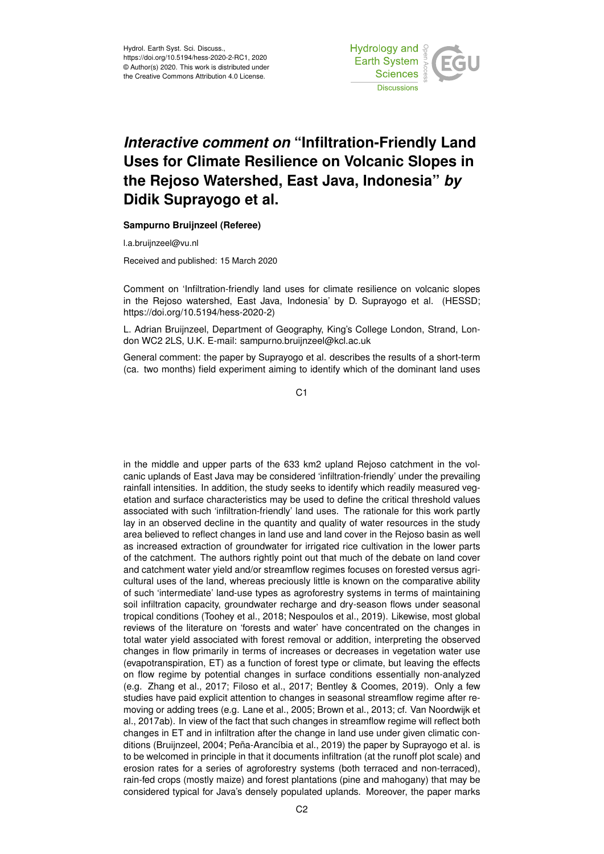

## *Interactive comment on* **"Infiltration-Friendly Land Uses for Climate Resilience on Volcanic Slopes in the Rejoso Watershed, East Java, Indonesia"** *by* **Didik Suprayogo et al.**

**Sampurno Bruijnzeel (Referee)**

l.a.bruijnzeel@vu.nl

Received and published: 15 March 2020

Comment on 'Infiltration-friendly land uses for climate resilience on volcanic slopes in the Rejoso watershed, East Java, Indonesia' by D. Suprayogo et al. (HESSD; https://doi.org/10.5194/hess-2020-2)

L. Adrian Bruijnzeel, Department of Geography, King's College London, Strand, London WC2 2LS, U.K. E-mail: sampurno.bruijnzeel@kcl.ac.uk

General comment: the paper by Suprayogo et al. describes the results of a short-term (ca. two months) field experiment aiming to identify which of the dominant land uses

C1

in the middle and upper parts of the 633 km2 upland Rejoso catchment in the volcanic uplands of East Java may be considered 'infiltration-friendly' under the prevailing rainfall intensities. In addition, the study seeks to identify which readily measured vegetation and surface characteristics may be used to define the critical threshold values associated with such 'infiltration-friendly' land uses. The rationale for this work partly lay in an observed decline in the quantity and quality of water resources in the study area believed to reflect changes in land use and land cover in the Rejoso basin as well as increased extraction of groundwater for irrigated rice cultivation in the lower parts of the catchment. The authors rightly point out that much of the debate on land cover and catchment water yield and/or streamflow regimes focuses on forested versus agricultural uses of the land, whereas preciously little is known on the comparative ability of such 'intermediate' land-use types as agroforestry systems in terms of maintaining soil infiltration capacity, groundwater recharge and dry-season flows under seasonal tropical conditions (Toohey et al., 2018; Nespoulos et al., 2019). Likewise, most global reviews of the literature on 'forests and water' have concentrated on the changes in total water yield associated with forest removal or addition, interpreting the observed changes in flow primarily in terms of increases or decreases in vegetation water use (evapotranspiration, ET) as a function of forest type or climate, but leaving the effects on flow regime by potential changes in surface conditions essentially non-analyzed (e.g. Zhang et al., 2017; Filoso et al., 2017; Bentley & Coomes, 2019). Only a few studies have paid explicit attention to changes in seasonal streamflow regime after removing or adding trees (e.g. Lane et al., 2005; Brown et al., 2013; cf. Van Noordwijk et al., 2017ab). In view of the fact that such changes in streamflow regime will reflect both changes in ET and in infiltration after the change in land use under given climatic conditions (Bruijnzeel, 2004; Peña-Arancíbia et al., 2019) the paper by Suprayogo et al. is to be welcomed in principle in that it documents infiltration (at the runoff plot scale) and erosion rates for a series of agroforestry systems (both terraced and non-terraced), rain-fed crops (mostly maize) and forest plantations (pine and mahogany) that may be considered typical for Java's densely populated uplands. Moreover, the paper marks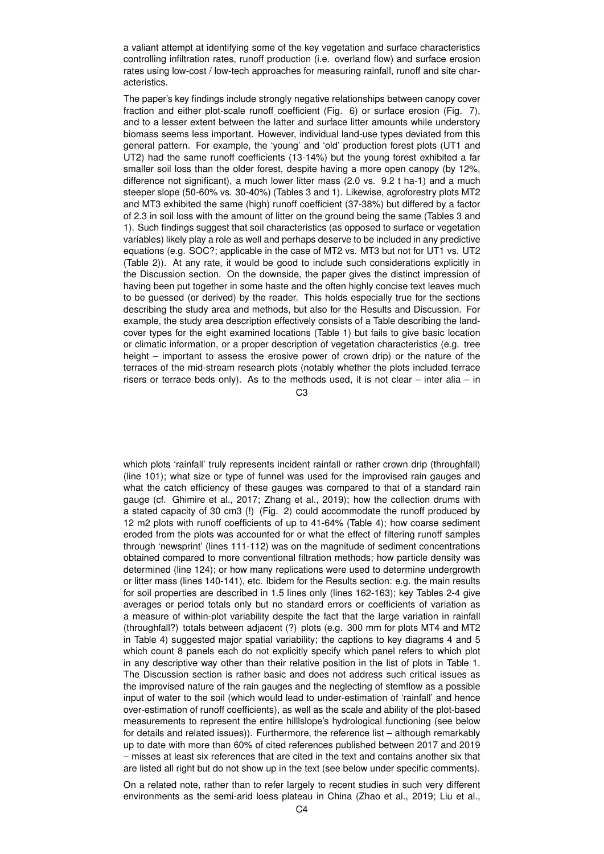a valiant attempt at identifying some of the key vegetation and surface characteristics controlling infiltration rates, runoff production (i.e. overland flow) and surface erosion rates using low-cost / low-tech approaches for measuring rainfall, runoff and site characteristics.

The paper's key findings include strongly negative relationships between canopy cover fraction and either plot-scale runoff coefficient (Fig. 6) or surface erosion (Fig. 7), and to a lesser extent between the latter and surface litter amounts while understory biomass seems less important. However, individual land-use types deviated from this general pattern. For example, the 'young' and 'old' production forest plots (UT1 and UT2) had the same runoff coefficients (13-14%) but the young forest exhibited a far smaller soil loss than the older forest, despite having a more open canopy (by 12%, difference not significant), a much lower litter mass (2.0 vs. 9.2 t ha-1) and a much steeper slope (50-60% vs. 30-40%) (Tables 3 and 1). Likewise, agroforestry plots MT2 and MT3 exhibited the same (high) runoff coefficient (37-38%) but differed by a factor of 2.3 in soil loss with the amount of litter on the ground being the same (Tables 3 and 1). Such findings suggest that soil characteristics (as opposed to surface or vegetation variables) likely play a role as well and perhaps deserve to be included in any predictive equations (e.g. SOC?; applicable in the case of MT2 vs. MT3 but not for UT1 vs. UT2 (Table 2)). At any rate, it would be good to include such considerations explicitly in the Discussion section. On the downside, the paper gives the distinct impression of having been put together in some haste and the often highly concise text leaves much to be guessed (or derived) by the reader. This holds especially true for the sections describing the study area and methods, but also for the Results and Discussion. For example, the study area description effectively consists of a Table describing the landcover types for the eight examined locations (Table 1) but fails to give basic location or climatic information, or a proper description of vegetation characteristics (e.g. tree height – important to assess the erosive power of crown drip) or the nature of the terraces of the mid-stream research plots (notably whether the plots included terrace risers or terrace beds only). As to the methods used, it is not clear – inter alia – in

 $C<sub>3</sub>$ 

which plots 'rainfall' truly represents incident rainfall or rather crown drip (throughfall) (line 101); what size or type of funnel was used for the improvised rain gauges and what the catch efficiency of these gauges was compared to that of a standard rain gauge (cf. Ghimire et al., 2017; Zhang et al., 2019); how the collection drums with a stated capacity of 30 cm3 (!) (Fig. 2) could accommodate the runoff produced by 12 m2 plots with runoff coefficients of up to 41-64% (Table 4); how coarse sediment eroded from the plots was accounted for or what the effect of filtering runoff samples through 'newsprint' (lines 111-112) was on the magnitude of sediment concentrations obtained compared to more conventional filtration methods; how particle density was determined (line 124); or how many replications were used to determine undergrowth or litter mass (lines 140-141), etc. Ibidem for the Results section: e.g. the main results for soil properties are described in 1.5 lines only (lines 162-163); key Tables 2-4 give averages or period totals only but no standard errors or coefficients of variation as a measure of within-plot variability despite the fact that the large variation in rainfall (throughfall?) totals between adjacent (?) plots (e.g. 300 mm for plots MT4 and MT2 in Table 4) suggested major spatial variability; the captions to key diagrams 4 and 5 which count 8 panels each do not explicitly specify which panel refers to which plot in any descriptive way other than their relative position in the list of plots in Table 1. The Discussion section is rather basic and does not address such critical issues as the improvised nature of the rain gauges and the neglecting of stemflow as a possible input of water to the soil (which would lead to under-estimation of 'rainfall' and hence over-estimation of runoff coefficients), as well as the scale and ability of the plot-based measurements to represent the entire hilllslope's hydrological functioning (see below for details and related issues)). Furthermore, the reference list – although remarkably up to date with more than 60% of cited references published between 2017 and 2019 – misses at least six references that are cited in the text and contains another six that are listed all right but do not show up in the text (see below under specific comments).

On a related note, rather than to refer largely to recent studies in such very different environments as the semi-arid loess plateau in China (Zhao et al., 2019; Liu et al.,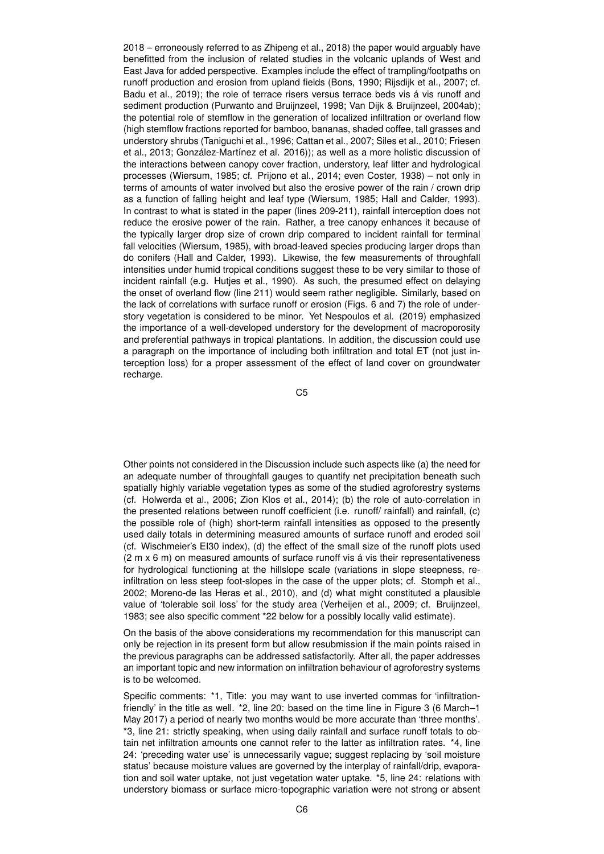2018 – erroneously referred to as Zhipeng et al., 2018) the paper would arguably have benefitted from the inclusion of related studies in the volcanic uplands of West and East Java for added perspective. Examples include the effect of trampling/footpaths on runoff production and erosion from upland fields (Bons, 1990; Rijsdijk et al., 2007; cf. Badu et al., 2019); the role of terrace risers versus terrace beds vis á vis runoff and sediment production (Purwanto and Bruijnzeel, 1998; Van Dijk & Bruijnzeel, 2004ab); the potential role of stemflow in the generation of localized infiltration or overland flow (high stemflow fractions reported for bamboo, bananas, shaded coffee, tall grasses and understory shrubs (Taniguchi et al., 1996; Cattan et al., 2007; Siles et al., 2010; Friesen et al., 2013; González-Martínez et al. 2016)); as well as a more holistic discussion of the interactions between canopy cover fraction, understory, leaf litter and hydrological processes (Wiersum, 1985; cf. Prijono et al., 2014; even Coster, 1938) – not only in terms of amounts of water involved but also the erosive power of the rain / crown drip as a function of falling height and leaf type (Wiersum, 1985; Hall and Calder, 1993). In contrast to what is stated in the paper (lines 209-211), rainfall interception does not reduce the erosive power of the rain. Rather, a tree canopy enhances it because of the typically larger drop size of crown drip compared to incident rainfall for terminal fall velocities (Wiersum, 1985), with broad-leaved species producing larger drops than do conifers (Hall and Calder, 1993). Likewise, the few measurements of throughfall intensities under humid tropical conditions suggest these to be very similar to those of incident rainfall (e.g. Hutjes et al., 1990). As such, the presumed effect on delaying the onset of overland flow (line 211) would seem rather negligible. Similarly, based on the lack of correlations with surface runoff or erosion (Figs. 6 and 7) the role of understory vegetation is considered to be minor. Yet Nespoulos et al. (2019) emphasized the importance of a well-developed understory for the development of macroporosity and preferential pathways in tropical plantations. In addition, the discussion could use a paragraph on the importance of including both infiltration and total ET (not just interception loss) for a proper assessment of the effect of land cover on groundwater recharge.

C5

Other points not considered in the Discussion include such aspects like (a) the need for an adequate number of throughfall gauges to quantify net precipitation beneath such spatially highly variable vegetation types as some of the studied agroforestry systems (cf. Holwerda et al., 2006; Zion Klos et al., 2014); (b) the role of auto-correlation in the presented relations between runoff coefficient (i.e. runoff/ rainfall) and rainfall, (c) the possible role of (high) short-term rainfall intensities as opposed to the presently used daily totals in determining measured amounts of surface runoff and eroded soil (cf. Wischmeier's EI30 index), (d) the effect of the small size of the runoff plots used (2 m x 6 m) on measured amounts of surface runoff vis á vis their representativeness for hydrological functioning at the hillslope scale (variations in slope steepness, reinfiltration on less steep foot-slopes in the case of the upper plots; cf. Stomph et al., 2002; Moreno-de las Heras et al., 2010), and (d) what might constituted a plausible value of 'tolerable soil loss' for the study area (Verheijen et al., 2009; cf. Bruijnzeel, 1983; see also specific comment \*22 below for a possibly locally valid estimate).

On the basis of the above considerations my recommendation for this manuscript can only be rejection in its present form but allow resubmission if the main points raised in the previous paragraphs can be addressed satisfactorily. After all, the paper addresses an important topic and new information on infiltration behaviour of agroforestry systems is to be welcomed.

Specific comments: \*1, Title: you may want to use inverted commas for 'infiltrationfriendly' in the title as well. \*2, line 20: based on the time line in Figure 3 (6 March–1 May 2017) a period of nearly two months would be more accurate than 'three months'. \*3, line 21: strictly speaking, when using daily rainfall and surface runoff totals to obtain net infiltration amounts one cannot refer to the latter as infiltration rates. \*4, line 24: 'preceding water use' is unnecessarily vague; suggest replacing by 'soil moisture status' because moisture values are governed by the interplay of rainfall/drip, evaporation and soil water uptake, not just vegetation water uptake. \*5, line 24: relations with understory biomass or surface micro-topographic variation were not strong or absent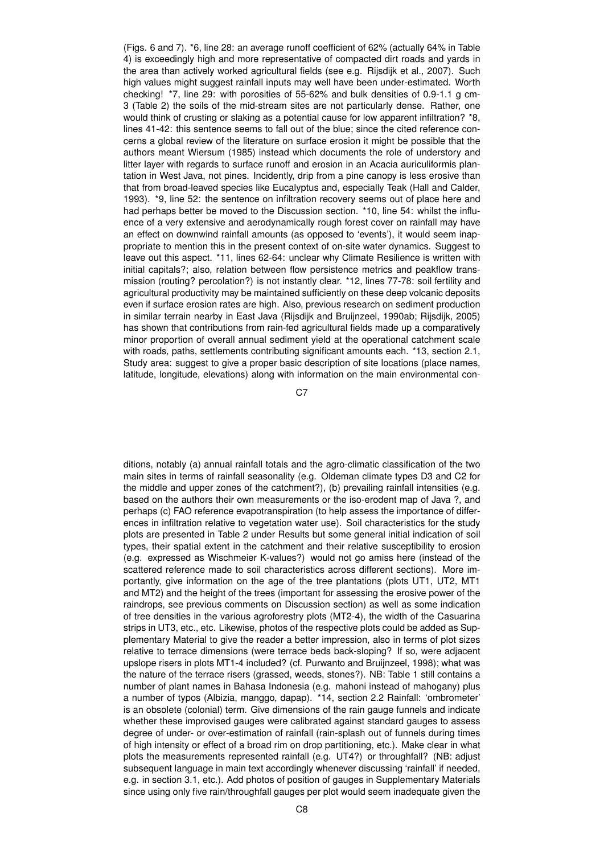(Figs. 6 and 7). \*6, line 28: an average runoff coefficient of 62% (actually 64% in Table 4) is exceedingly high and more representative of compacted dirt roads and yards in the area than actively worked agricultural fields (see e.g. Rijsdijk et al., 2007). Such high values might suggest rainfall inputs may well have been under-estimated. Worth checking! \*7, line 29: with porosities of 55-62% and bulk densities of 0.9-1.1 g cm-3 (Table 2) the soils of the mid-stream sites are not particularly dense. Rather, one would think of crusting or slaking as a potential cause for low apparent infiltration? \*8, lines 41-42: this sentence seems to fall out of the blue; since the cited reference concerns a global review of the literature on surface erosion it might be possible that the authors meant Wiersum (1985) instead which documents the role of understory and litter layer with regards to surface runoff and erosion in an Acacia auriculiformis plantation in West Java, not pines. Incidently, drip from a pine canopy is less erosive than that from broad-leaved species like Eucalyptus and, especially Teak (Hall and Calder, 1993). \*9, line 52: the sentence on infiltration recovery seems out of place here and had perhaps better be moved to the Discussion section. \*10, line 54: whilst the influence of a very extensive and aerodynamically rough forest cover on rainfall may have an effect on downwind rainfall amounts (as opposed to 'events'), it would seem inappropriate to mention this in the present context of on-site water dynamics. Suggest to leave out this aspect. \*11, lines 62-64: unclear why Climate Resilience is written with initial capitals?; also, relation between flow persistence metrics and peakflow transmission (routing? percolation?) is not instantly clear. \*12, lines 77-78: soil fertility and agricultural productivity may be maintained sufficiently on these deep volcanic deposits even if surface erosion rates are high. Also, previous research on sediment production in similar terrain nearby in East Java (Rijsdijk and Bruijnzeel, 1990ab; Rijsdijk, 2005) has shown that contributions from rain-fed agricultural fields made up a comparatively minor proportion of overall annual sediment yield at the operational catchment scale with roads, paths, settlements contributing significant amounts each. \*13, section 2.1, Study area: suggest to give a proper basic description of site locations (place names, latitude, longitude, elevations) along with information on the main environmental con-

 $C<sub>7</sub>$ 

ditions, notably (a) annual rainfall totals and the agro-climatic classification of the two main sites in terms of rainfall seasonality (e.g. Oldeman climate types D3 and C2 for the middle and upper zones of the catchment?), (b) prevailing rainfall intensities (e.g. based on the authors their own measurements or the iso-erodent map of Java ?, and perhaps (c) FAO reference evapotranspiration (to help assess the importance of differences in infiltration relative to vegetation water use). Soil characteristics for the study plots are presented in Table 2 under Results but some general initial indication of soil types, their spatial extent in the catchment and their relative susceptibility to erosion (e.g. expressed as Wischmeier K-values?) would not go amiss here (instead of the scattered reference made to soil characteristics across different sections). More importantly, give information on the age of the tree plantations (plots UT1, UT2, MT1 and MT2) and the height of the trees (important for assessing the erosive power of the raindrops, see previous comments on Discussion section) as well as some indication of tree densities in the various agroforestry plots (MT2-4), the width of the Casuarina strips in UT3, etc., etc. Likewise, photos of the respective plots could be added as Supplementary Material to give the reader a better impression, also in terms of plot sizes relative to terrace dimensions (were terrace beds back-sloping? If so, were adjacent upslope risers in plots MT1-4 included? (cf. Purwanto and Bruijnzeel, 1998); what was the nature of the terrace risers (grassed, weeds, stones?). NB: Table 1 still contains a number of plant names in Bahasa Indonesia (e.g. mahoni instead of mahogany) plus a number of typos (Albizia, manggo, dapap). \*14, section 2.2 Rainfall: 'ombrometer' is an obsolete (colonial) term. Give dimensions of the rain gauge funnels and indicate whether these improvised gauges were calibrated against standard gauges to assess degree of under- or over-estimation of rainfall (rain-splash out of funnels during times of high intensity or effect of a broad rim on drop partitioning, etc.). Make clear in what plots the measurements represented rainfall (e.g. UT4?) or throughfall? (NB: adjust subsequent language in main text accordingly whenever discussing 'rainfall' if needed, e.g. in section 3.1, etc.). Add photos of position of gauges in Supplementary Materials since using only five rain/throughfall gauges per plot would seem inadequate given the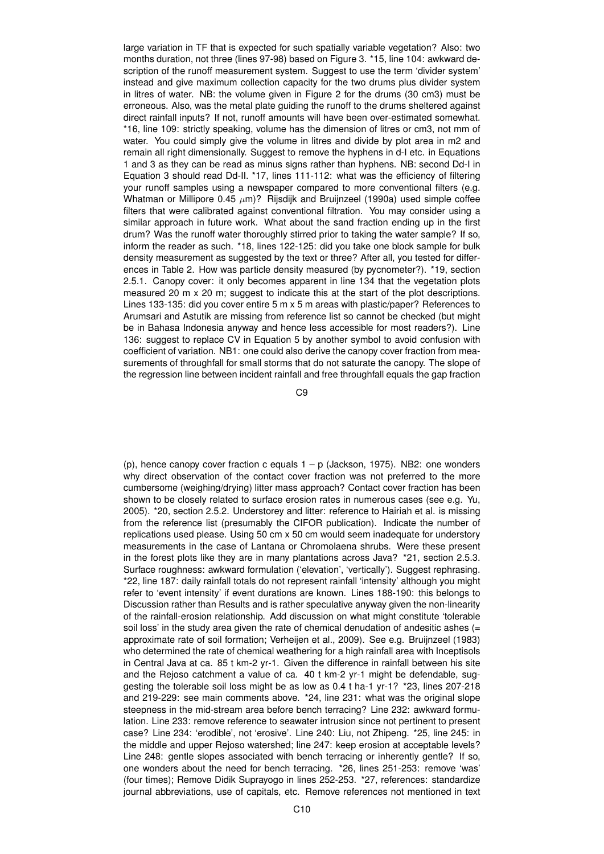large variation in TF that is expected for such spatially variable vegetation? Also: two months duration, not three (lines 97-98) based on Figure 3. \*15, line 104: awkward description of the runoff measurement system. Suggest to use the term 'divider system' instead and give maximum collection capacity for the two drums plus divider system in litres of water. NB: the volume given in Figure 2 for the drums (30 cm3) must be erroneous. Also, was the metal plate guiding the runoff to the drums sheltered against direct rainfall inputs? If not, runoff amounts will have been over-estimated somewhat. \*16, line 109: strictly speaking, volume has the dimension of litres or cm3, not mm of water. You could simply give the volume in litres and divide by plot area in m2 and remain all right dimensionally. Suggest to remove the hyphens in d-I etc. in Equations 1 and 3 as they can be read as minus signs rather than hyphens. NB: second Dd-I in Equation 3 should read Dd-II. \*17, lines 111-112: what was the efficiency of filtering your runoff samples using a newspaper compared to more conventional filters (e.g. Whatman or Millipore 0.45  $\mu$ m)? Rijsdijk and Bruijnzeel (1990a) used simple coffee filters that were calibrated against conventional filtration. You may consider using a similar approach in future work. What about the sand fraction ending up in the first drum? Was the runoff water thoroughly stirred prior to taking the water sample? If so, inform the reader as such. \*18, lines 122-125: did you take one block sample for bulk density measurement as suggested by the text or three? After all, you tested for differences in Table 2. How was particle density measured (by pycnometer?). \*19, section 2.5.1. Canopy cover: it only becomes apparent in line 134 that the vegetation plots measured 20 m x 20 m; suggest to indicate this at the start of the plot descriptions. Lines 133-135: did you cover entire 5 m x 5 m areas with plastic/paper? References to Arumsari and Astutik are missing from reference list so cannot be checked (but might be in Bahasa Indonesia anyway and hence less accessible for most readers?). Line 136: suggest to replace CV in Equation 5 by another symbol to avoid confusion with coefficient of variation. NB1: one could also derive the canopy cover fraction from measurements of throughfall for small storms that do not saturate the canopy. The slope of the regression line between incident rainfall and free throughfall equals the gap fraction

C9

(p), hence canopy cover fraction c equals  $1 - p$  (Jackson, 1975). NB2: one wonders why direct observation of the contact cover fraction was not preferred to the more cumbersome (weighing/drying) litter mass approach? Contact cover fraction has been shown to be closely related to surface erosion rates in numerous cases (see e.g. Yu, 2005). \*20, section 2.5.2. Understorey and litter: reference to Hairiah et al. is missing from the reference list (presumably the CIFOR publication). Indicate the number of replications used please. Using 50 cm x 50 cm would seem inadequate for understory measurements in the case of Lantana or Chromolaena shrubs. Were these present in the forest plots like they are in many plantations across Java? \*21, section 2.5.3. Surface roughness: awkward formulation ('elevation', 'vertically'). Suggest rephrasing. \*22, line 187: daily rainfall totals do not represent rainfall 'intensity' although you might refer to 'event intensity' if event durations are known. Lines 188-190: this belongs to Discussion rather than Results and is rather speculative anyway given the non-linearity of the rainfall-erosion relationship. Add discussion on what might constitute 'tolerable soil loss' in the study area given the rate of chemical denudation of andesitic ashes (= approximate rate of soil formation; Verheijen et al., 2009). See e.g. Bruijnzeel (1983) who determined the rate of chemical weathering for a high rainfall area with Inceptisols in Central Java at ca. 85 t km-2 yr-1. Given the difference in rainfall between his site and the Rejoso catchment a value of ca. 40 t km-2 yr-1 might be defendable, suggesting the tolerable soil loss might be as low as 0.4 t ha-1 yr-1? \*23, lines 207-218 and 219-229: see main comments above. \*24, line 231: what was the original slope steepness in the mid-stream area before bench terracing? Line 232: awkward formulation. Line 233: remove reference to seawater intrusion since not pertinent to present case? Line 234: 'erodible', not 'erosive'. Line 240: Liu, not Zhipeng. \*25, line 245: in the middle and upper Rejoso watershed; line 247: keep erosion at acceptable levels? Line 248: gentle slopes associated with bench terracing or inherently gentle? If so, one wonders about the need for bench terracing. \*26, lines 251-253: remove 'was' (four times); Remove Didik Suprayogo in lines 252-253. \*27, references: standardize journal abbreviations, use of capitals, etc. Remove references not mentioned in text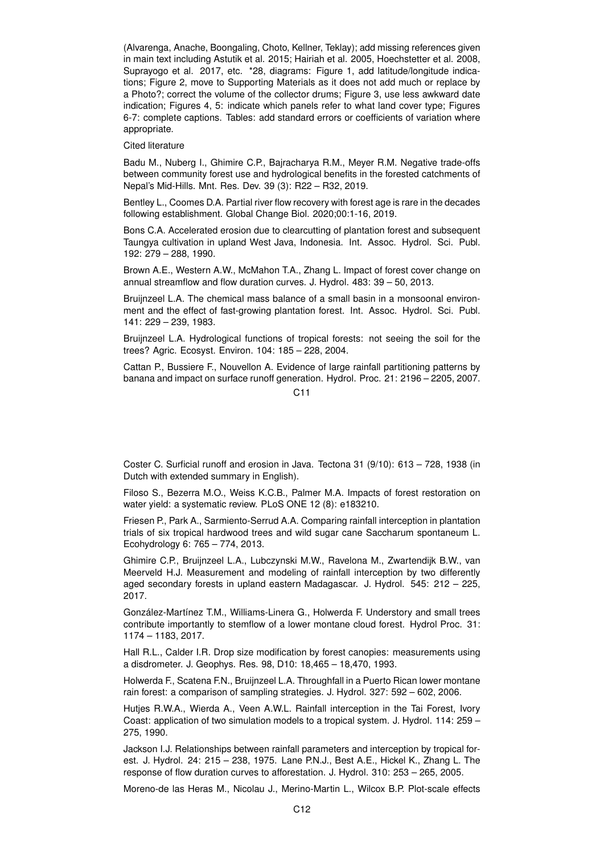(Alvarenga, Anache, Boongaling, Choto, Kellner, Teklay); add missing references given in main text including Astutik et al. 2015; Hairiah et al. 2005, Hoechstetter et al. 2008, Suprayogo et al. 2017, etc. \*28, diagrams: Figure 1, add latitude/longitude indications; Figure 2, move to Supporting Materials as it does not add much or replace by a Photo?; correct the volume of the collector drums; Figure 3, use less awkward date indication; Figures 4, 5: indicate which panels refer to what land cover type; Figures 6-7: complete captions. Tables: add standard errors or coefficients of variation where appropriate.

Cited literature

Badu M., Nuberg I., Ghimire C.P., Bajracharya R.M., Meyer R.M. Negative trade-offs between community forest use and hydrological benefits in the forested catchments of Nepal's Mid-Hills. Mnt. Res. Dev. 39 (3): R22 – R32, 2019.

Bentley L., Coomes D.A. Partial river flow recovery with forest age is rare in the decades following establishment. Global Change Biol. 2020;00:1-16, 2019.

Bons C.A. Accelerated erosion due to clearcutting of plantation forest and subsequent Taungya cultivation in upland West Java, Indonesia. Int. Assoc. Hydrol. Sci. Publ. 192: 279 – 288, 1990.

Brown A.E., Western A.W., McMahon T.A., Zhang L. Impact of forest cover change on annual streamflow and flow duration curves. J. Hydrol. 483: 39 – 50, 2013.

Bruijnzeel L.A. The chemical mass balance of a small basin in a monsoonal environment and the effect of fast-growing plantation forest. Int. Assoc. Hydrol. Sci. Publ. 141: 229 – 239, 1983.

Bruijnzeel L.A. Hydrological functions of tropical forests: not seeing the soil for the trees? Agric. Ecosyst. Environ. 104: 185 – 228, 2004.

Cattan P., Bussiere F., Nouvellon A. Evidence of large rainfall partitioning patterns by banana and impact on surface runoff generation. Hydrol. Proc. 21: 2196 – 2205, 2007.

 $C<sub>11</sub>$ 

Coster C. Surficial runoff and erosion in Java. Tectona 31 (9/10): 613 – 728, 1938 (in Dutch with extended summary in English).

Filoso S., Bezerra M.O., Weiss K.C.B., Palmer M.A. Impacts of forest restoration on water yield: a systematic review. PLoS ONE 12 (8): e183210.

Friesen P., Park A., Sarmiento-Serrud A.A. Comparing rainfall interception in plantation trials of six tropical hardwood trees and wild sugar cane Saccharum spontaneum L. Ecohydrology 6: 765 – 774, 2013.

Ghimire C.P., Bruijnzeel L.A., Lubczynski M.W., Ravelona M., Zwartendijk B.W., van Meerveld H.J. Measurement and modeling of rainfall interception by two differently aged secondary forests in upland eastern Madagascar. J. Hydrol. 545: 212 – 225, 2017.

González-Martínez T.M., Williams-Linera G., Holwerda F. Understory and small trees contribute importantly to stemflow of a lower montane cloud forest. Hydrol Proc. 31: 1174 – 1183, 2017.

Hall R.L., Calder I.R. Drop size modification by forest canopies: measurements using a disdrometer. J. Geophys. Res. 98, D10: 18,465 – 18,470, 1993.

Holwerda F., Scatena F.N., Bruijnzeel L.A. Throughfall in a Puerto Rican lower montane rain forest: a comparison of sampling strategies. J. Hydrol. 327: 592 – 602, 2006.

Hutjes R.W.A., Wierda A., Veen A.W.L. Rainfall interception in the Tai Forest, Ivory Coast: application of two simulation models to a tropical system. J. Hydrol. 114: 259 – 275, 1990.

Jackson I.J. Relationships between rainfall parameters and interception by tropical forest. J. Hydrol. 24: 215 – 238, 1975. Lane P.N.J., Best A.E., Hickel K., Zhang L. The response of flow duration curves to afforestation. J. Hydrol. 310: 253 – 265, 2005.

Moreno-de las Heras M., Nicolau J., Merino-Martin L., Wilcox B.P. Plot-scale effects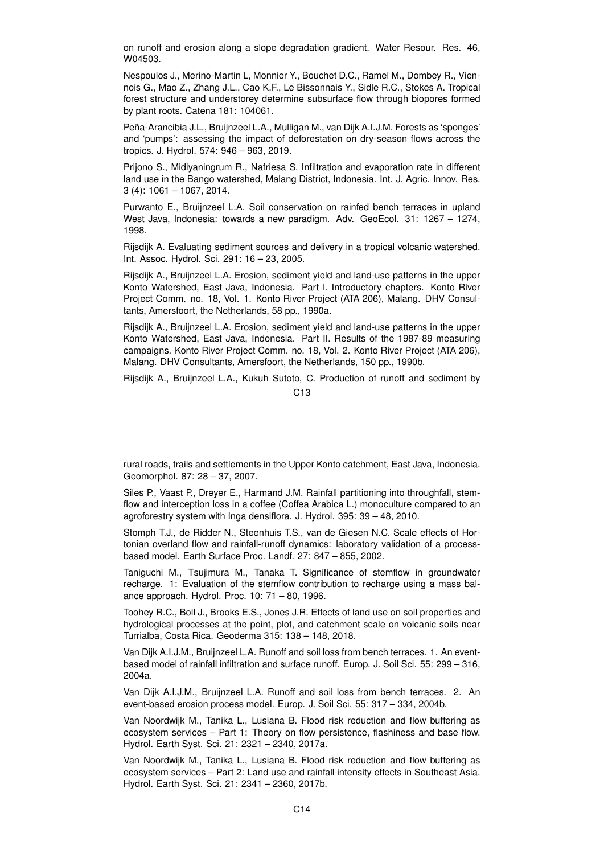on runoff and erosion along a slope degradation gradient. Water Resour. Res. 46, W04503.

Nespoulos J., Merino-Martin L, Monnier Y., Bouchet D.C., Ramel M., Dombey R., Viennois G., Mao Z., Zhang J.L., Cao K.F., Le Bissonnais Y., Sidle R.C., Stokes A. Tropical forest structure and understorey determine subsurface flow through biopores formed by plant roots. Catena 181: 104061.

Peña-Arancibia J.L., Bruijnzeel L.A., Mulligan M., van Dijk A.I.J.M. Forests as 'sponges' and 'pumps': assessing the impact of deforestation on dry-season flows across the tropics. J. Hydrol. 574: 946 – 963, 2019.

Prijono S., Midiyaningrum R., Nafriesa S. Infiltration and evaporation rate in different land use in the Bango watershed, Malang District, Indonesia. Int. J. Agric. Innov. Res. 3 (4): 1061 – 1067, 2014.

Purwanto E., Bruijnzeel L.A. Soil conservation on rainfed bench terraces in upland West Java, Indonesia: towards a new paradigm. Adv. GeoEcol. 31: 1267 - 1274, 1998.

Rijsdijk A. Evaluating sediment sources and delivery in a tropical volcanic watershed. Int. Assoc. Hydrol. Sci. 291: 16 – 23, 2005.

Rijsdijk A., Bruijnzeel L.A. Erosion, sediment yield and land-use patterns in the upper Konto Watershed, East Java, Indonesia. Part I. Introductory chapters. Konto River Project Comm. no. 18, Vol. 1. Konto River Project (ATA 206), Malang. DHV Consultants, Amersfoort, the Netherlands, 58 pp., 1990a.

Rijsdijk A., Bruijnzeel L.A. Erosion, sediment yield and land-use patterns in the upper Konto Watershed, East Java, Indonesia. Part II. Results of the 1987-89 measuring campaigns. Konto River Project Comm. no. 18, Vol. 2. Konto River Project (ATA 206), Malang. DHV Consultants, Amersfoort, the Netherlands, 150 pp., 1990b.

Rijsdijk A., Bruijnzeel L.A., Kukuh Sutoto, C. Production of runoff and sediment by  $C<sub>13</sub>$ 

rural roads, trails and settlements in the Upper Konto catchment, East Java, Indonesia. Geomorphol. 87: 28 – 37, 2007.

Siles P., Vaast P., Dreyer E., Harmand J.M. Rainfall partitioning into throughfall, stemflow and interception loss in a coffee (Coffea Arabica L.) monoculture compared to an agroforestry system with Inga densiflora. J. Hydrol. 395: 39 – 48, 2010.

Stomph T.J., de Ridder N., Steenhuis T.S., van de Giesen N.C. Scale effects of Hortonian overland flow and rainfall-runoff dynamics: laboratory validation of a processbased model. Earth Surface Proc. Landf. 27: 847 – 855, 2002.

Taniguchi M., Tsujimura M., Tanaka T. Significance of stemflow in groundwater recharge. 1: Evaluation of the stemflow contribution to recharge using a mass balance approach. Hydrol. Proc. 10: 71 – 80, 1996.

Toohey R.C., Boll J., Brooks E.S., Jones J.R. Effects of land use on soil properties and hydrological processes at the point, plot, and catchment scale on volcanic soils near Turrialba, Costa Rica. Geoderma 315: 138 – 148, 2018.

Van Dijk A.I.J.M., Bruijnzeel L.A. Runoff and soil loss from bench terraces. 1. An eventbased model of rainfall infiltration and surface runoff. Europ. J. Soil Sci. 55: 299 – 316, 2004a.

Van Dijk A.I.J.M., Bruijnzeel L.A. Runoff and soil loss from bench terraces. 2. An event-based erosion process model. Europ. J. Soil Sci. 55: 317 – 334, 2004b.

Van Noordwijk M., Tanika L., Lusiana B. Flood risk reduction and flow buffering as ecosystem services – Part 1: Theory on flow persistence, flashiness and base flow. Hydrol. Earth Syst. Sci. 21: 2321 – 2340, 2017a.

Van Noordwijk M., Tanika L., Lusiana B. Flood risk reduction and flow buffering as ecosystem services – Part 2: Land use and rainfall intensity effects in Southeast Asia. Hydrol. Earth Syst. Sci. 21: 2341 – 2360, 2017b.